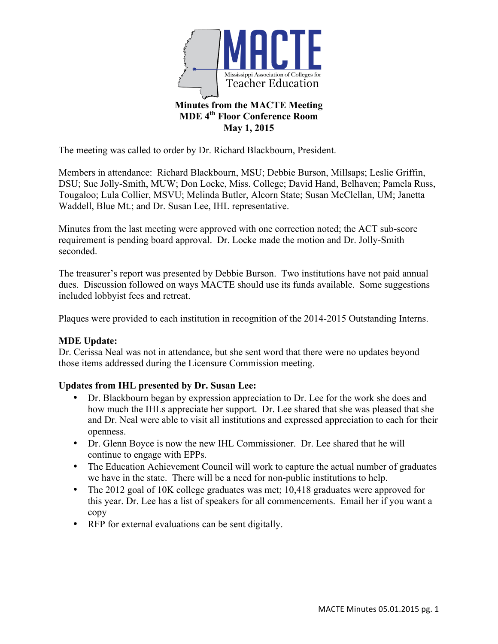

The meeting was called to order by Dr. Richard Blackbourn, President.

Members in attendance: Richard Blackbourn, MSU; Debbie Burson, Millsaps; Leslie Griffin, DSU; Sue Jolly-Smith, MUW; Don Locke, Miss. College; David Hand, Belhaven; Pamela Russ, Tougaloo; Lula Collier, MSVU; Melinda Butler, Alcorn State; Susan McClellan, UM; Janetta Waddell, Blue Mt.; and Dr. Susan Lee, IHL representative.

Minutes from the last meeting were approved with one correction noted; the ACT sub-score requirement is pending board approval. Dr. Locke made the motion and Dr. Jolly-Smith seconded.

The treasurer's report was presented by Debbie Burson. Two institutions have not paid annual dues. Discussion followed on ways MACTE should use its funds available. Some suggestions included lobbyist fees and retreat.

Plaques were provided to each institution in recognition of the 2014-2015 Outstanding Interns.

## **MDE Update:**

Dr. Cerissa Neal was not in attendance, but she sent word that there were no updates beyond those items addressed during the Licensure Commission meeting.

## **Updates from IHL presented by Dr. Susan Lee:**

- Dr. Blackbourn began by expression appreciation to Dr. Lee for the work she does and how much the IHLs appreciate her support. Dr. Lee shared that she was pleased that she and Dr. Neal were able to visit all institutions and expressed appreciation to each for their openness.
- Dr. Glenn Boyce is now the new IHL Commissioner. Dr. Lee shared that he will continue to engage with EPPs.
- The Education Achievement Council will work to capture the actual number of graduates we have in the state. There will be a need for non-public institutions to help.
- The 2012 goal of 10K college graduates was met; 10,418 graduates were approved for this year. Dr. Lee has a list of speakers for all commencements. Email her if you want a copy
- RFP for external evaluations can be sent digitally.